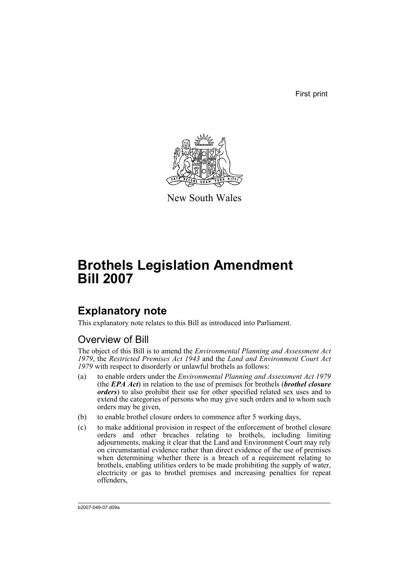First print



New South Wales

# **Brothels Legislation Amendment Bill 2007**

## **Explanatory note**

This explanatory note relates to this Bill as introduced into Parliament.

## Overview of Bill

The object of this Bill is to amend the *Environmental Planning and Assessment Act 1979*, the *Restricted Premises Act 1943* and the *Land and Environment Court Act 1979* with respect to disorderly or unlawful brothels as follows:

- (a) to enable orders under the *Environmental Planning and Assessment Act 1979* (the *EPA Act*) in relation to the use of premises for brothels (*brothel closure orders*) to also prohibit their use for other specified related sex uses and to extend the categories of persons who may give such orders and to whom such orders may be given,
- (b) to enable brothel closure orders to commence after 5 working days,
- (c) to make additional provision in respect of the enforcement of brothel closure orders and other breaches relating to brothels, including limiting adjournments, making it clear that the Land and Environment Court may rely on circumstantial evidence rather than direct evidence of the use of premises when determining whether there is a breach of a requirement relating to brothels, enabling utilities orders to be made prohibiting the supply of water, electricity or gas to brothel premises and increasing penalties for repeat offenders,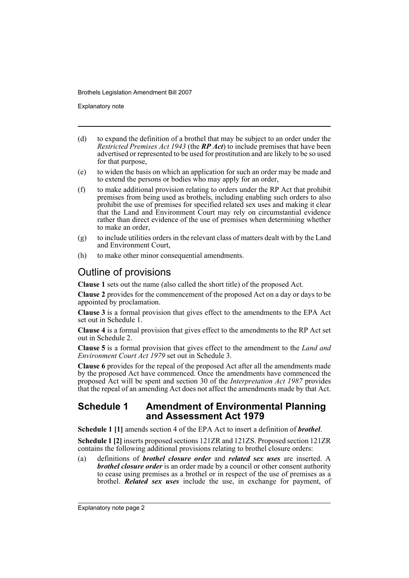Explanatory note

- (d) to expand the definition of a brothel that may be subject to an order under the *Restricted Premises Act 1943* (the *RP Act*) to include premises that have been advertised or represented to be used for prostitution and are likely to be so used for that purpose,
- (e) to widen the basis on which an application for such an order may be made and to extend the persons or bodies who may apply for an order,
- (f) to make additional provision relating to orders under the RP Act that prohibit premises from being used as brothels, including enabling such orders to also prohibit the use of premises for specified related sex uses and making it clear that the Land and Environment Court may rely on circumstantial evidence rather than direct evidence of the use of premises when determining whether to make an order,
- (g) to include utilities orders in the relevant class of matters dealt with by the Land and Environment Court,
- (h) to make other minor consequential amendments.

## Outline of provisions

**Clause 1** sets out the name (also called the short title) of the proposed Act.

**Clause 2** provides for the commencement of the proposed Act on a day or days to be appointed by proclamation.

**Clause 3** is a formal provision that gives effect to the amendments to the EPA Act set out in Schedule 1.

**Clause 4** is a formal provision that gives effect to the amendments to the RP Act set out in Schedule 2.

**Clause 5** is a formal provision that gives effect to the amendment to the *Land and Environment Court Act 1979* set out in Schedule 3.

**Clause 6** provides for the repeal of the proposed Act after all the amendments made by the proposed Act have commenced. Once the amendments have commenced the proposed Act will be spent and section 30 of the *Interpretation Act 1987* provides that the repeal of an amending Act does not affect the amendments made by that Act.

### **Schedule 1 Amendment of Environmental Planning and Assessment Act 1979**

**Schedule 1 [1]** amends section 4 of the EPA Act to insert a definition of *brothel*.

**Schedule 1 [2]** inserts proposed sections 121ZR and 121ZS. Proposed section 121ZR contains the following additional provisions relating to brothel closure orders:

(a) definitions of *brothel closure order* and *related sex uses* are inserted. A *brothel closure order* is an order made by a council or other consent authority to cease using premises as a brothel or in respect of the use of premises as a brothel. *Related sex uses* include the use, in exchange for payment, of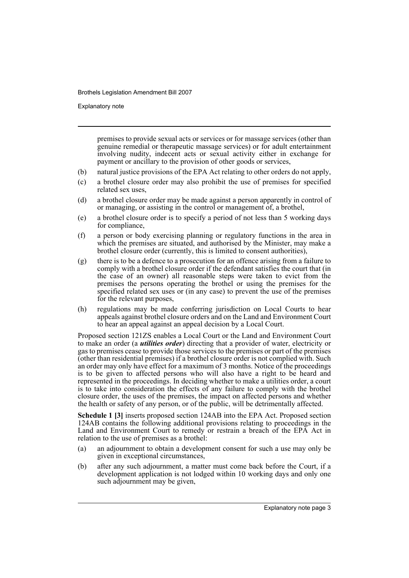Explanatory note

premises to provide sexual acts or services or for massage services (other than genuine remedial or therapeutic massage services) or for adult entertainment involving nudity, indecent acts or sexual activity either in exchange for payment or ancillary to the provision of other goods or services,

- (b) natural justice provisions of the EPA Act relating to other orders do not apply,
- (c) a brothel closure order may also prohibit the use of premises for specified related sex uses,
- (d) a brothel closure order may be made against a person apparently in control of or managing, or assisting in the control or management of, a brothel,
- (e) a brothel closure order is to specify a period of not less than 5 working days for compliance,
- (f) a person or body exercising planning or regulatory functions in the area in which the premises are situated, and authorised by the Minister, may make a brothel closure order (currently, this is limited to consent authorities),
- (g) there is to be a defence to a prosecution for an offence arising from a failure to comply with a brothel closure order if the defendant satisfies the court that (in the case of an owner) all reasonable steps were taken to evict from the premises the persons operating the brothel or using the premises for the specified related sex uses or (in any case) to prevent the use of the premises for the relevant purposes,
- (h) regulations may be made conferring jurisdiction on Local Courts to hear appeals against brothel closure orders and on the Land and Environment Court to hear an appeal against an appeal decision by a Local Court.

Proposed section 121ZS enables a Local Court or the Land and Environment Court to make an order (a *utilities order*) directing that a provider of water, electricity or gas to premises cease to provide those services to the premises or part of the premises (other than residential premises) if a brothel closure order is not complied with. Such an order may only have effect for a maximum of 3 months. Notice of the proceedings is to be given to affected persons who will also have a right to be heard and represented in the proceedings. In deciding whether to make a utilities order, a court is to take into consideration the effects of any failure to comply with the brothel closure order, the uses of the premises, the impact on affected persons and whether the health or safety of any person, or of the public, will be detrimentally affected.

**Schedule 1 [3]** inserts proposed section 124AB into the EPA Act. Proposed section 124AB contains the following additional provisions relating to proceedings in the Land and Environment Court to remedy or restrain a breach of the EPA Act in relation to the use of premises as a brothel:

- (a) an adjournment to obtain a development consent for such a use may only be given in exceptional circumstances,
- (b) after any such adjournment, a matter must come back before the Court, if a development application is not lodged within 10 working days and only one such adjournment may be given,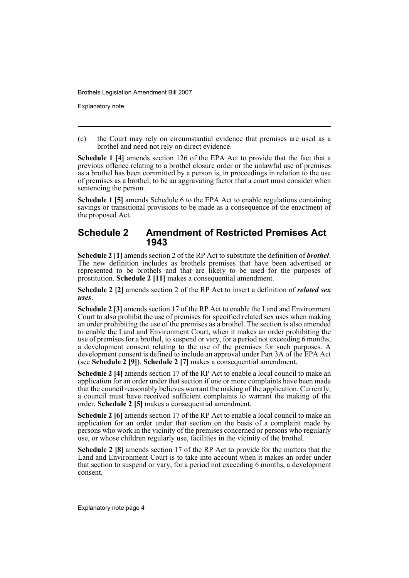Explanatory note

(c) the Court may rely on circumstantial evidence that premises are used as a brothel and need not rely on direct evidence.

**Schedule 1 [4]** amends section 126 of the EPA Act to provide that the fact that a previous offence relating to a brothel closure order or the unlawful use of premises as a brothel has been committed by a person is, in proceedings in relation to the use of premises as a brothel, to be an aggravating factor that a court must consider when sentencing the person.

**Schedule 1 [5]** amends Schedule 6 to the EPA Act to enable regulations containing savings or transitional provisions to be made as a consequence of the enactment of the proposed Act.

### **Schedule 2 Amendment of Restricted Premises Act 1943**

**Schedule 2 [1]** amends section 2 of the RP Act to substitute the definition of *brothel*. The new definition includes as brothels premises that have been advertised or represented to be brothels and that are likely to be used for the purposes of prostitution. **Schedule 2 [11]** makes a consequential amendment.

**Schedule 2 [2]** amends section 2 of the RP Act to insert a definition of *related sex uses*.

**Schedule 2 [3]** amends section 17 of the RP Act to enable the Land and Environment Court to also prohibit the use of premises for specified related sex uses when making an order prohibiting the use of the premises as a brothel. The section is also amended to enable the Land and Environment Court, when it makes an order prohibiting the use of premises for a brothel, to suspend or vary, for a period not exceeding 6 months, a development consent relating to the use of the premises for such purposes. A development consent is defined to include an approval under Part 3A of the EPA Act (see **Schedule 2 [9]**). **Schedule 2 [7]** makes a consequential amendment.

**Schedule 2 [4]** amends section 17 of the RP Act to enable a local council to make an application for an order under that section if one or more complaints have been made that the council reasonably believes warrant the making of the application. Currently, a council must have received sufficient complaints to warrant the making of the order. **Schedule 2 [5]** makes a consequential amendment.

**Schedule 2 [6]** amends section 17 of the RP Act to enable a local council to make an application for an order under that section on the basis of a complaint made by persons who work in the vicinity of the premises concerned or persons who regularly use, or whose children regularly use, facilities in the vicinity of the brothel.

**Schedule 2 [8]** amends section 17 of the RP Act to provide for the matters that the Land and Environment Court is to take into account when it makes an order under that section to suspend or vary, for a period not exceeding 6 months, a development consent.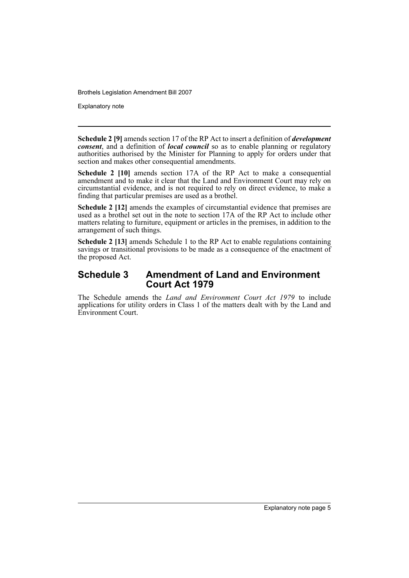Explanatory note

**Schedule 2 [9]** amends section 17 of the RP Act to insert a definition of *development consent*, and a definition of *local council* so as to enable planning or regulatory authorities authorised by the Minister for Planning to apply for orders under that section and makes other consequential amendments.

**Schedule 2 [10]** amends section 17A of the RP Act to make a consequential amendment and to make it clear that the Land and Environment Court may rely on circumstantial evidence, and is not required to rely on direct evidence, to make a finding that particular premises are used as a brothel.

**Schedule 2 [12]** amends the examples of circumstantial evidence that premises are used as a brothel set out in the note to section 17A of the RP Act to include other matters relating to furniture, equipment or articles in the premises, in addition to the arrangement of such things.

**Schedule 2 [13]** amends Schedule 1 to the RP Act to enable regulations containing savings or transitional provisions to be made as a consequence of the enactment of the proposed Act.

### **Schedule 3 Amendment of Land and Environment Court Act 1979**

The Schedule amends the *Land and Environment Court Act 1979* to include applications for utility orders in Class 1 of the matters dealt with by the Land and Environment Court.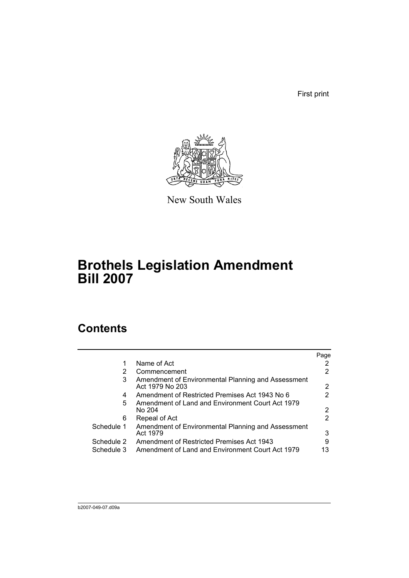First print



New South Wales

# **Brothels Legislation Amendment Bill 2007**

## **Contents**

|            |                                                                       | Page |
|------------|-----------------------------------------------------------------------|------|
|            | Name of Act                                                           |      |
| 2          | Commencement                                                          |      |
| 3          | Amendment of Environmental Planning and Assessment<br>Act 1979 No 203 | 2    |
| 4          | Amendment of Restricted Premises Act 1943 No 6                        |      |
| 5          | Amendment of Land and Environment Court Act 1979<br>No 204            | 2    |
| 6          | Repeal of Act                                                         | 2    |
| Schedule 1 | Amendment of Environmental Planning and Assessment                    |      |
|            | Act 1979                                                              | 3    |
| Schedule 2 | Amendment of Restricted Premises Act 1943                             | 9    |
| Schedule 3 | Amendment of Land and Environment Court Act 1979                      | 13   |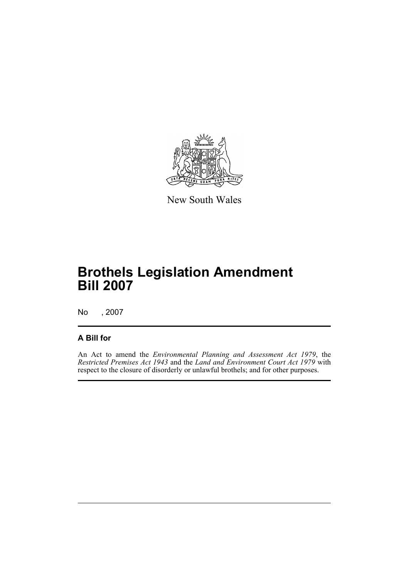

New South Wales

# **Brothels Legislation Amendment Bill 2007**

No , 2007

### **A Bill for**

An Act to amend the *Environmental Planning and Assessment Act 1979*, the *Restricted Premises Act 1943* and the *Land and Environment Court Act 1979* with respect to the closure of disorderly or unlawful brothels; and for other purposes.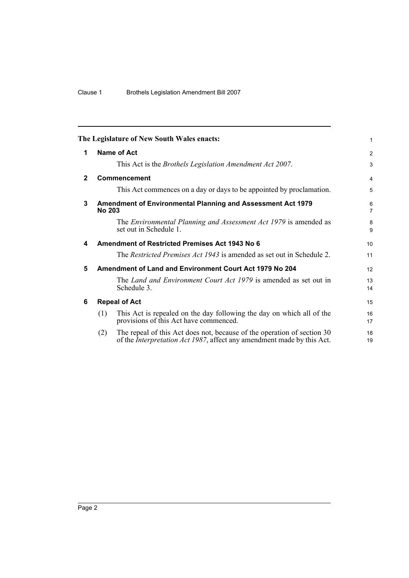<span id="page-9-5"></span><span id="page-9-4"></span><span id="page-9-3"></span><span id="page-9-2"></span><span id="page-9-1"></span><span id="page-9-0"></span>

|              | The Legislature of New South Wales enacts:                                                                                                                       | 1              |
|--------------|------------------------------------------------------------------------------------------------------------------------------------------------------------------|----------------|
| 1            | <b>Name of Act</b>                                                                                                                                               | $\overline{2}$ |
|              | This Act is the <i>Brothels Legislation Amendment Act 2007</i> .                                                                                                 | 3              |
| $\mathbf{2}$ | Commencement                                                                                                                                                     | $\overline{4}$ |
|              | This Act commences on a day or days to be appointed by proclamation.                                                                                             | 5              |
| 3            | Amendment of Environmental Planning and Assessment Act 1979<br><b>No 203</b>                                                                                     | 6<br>7         |
|              | The <i>Environmental Planning and Assessment Act 1979</i> is amended as<br>set out in Schedule 1.                                                                | 8<br>9         |
| 4            | <b>Amendment of Restricted Premises Act 1943 No 6</b>                                                                                                            | 10             |
|              | The <i>Restricted Premises Act 1943</i> is amended as set out in Schedule 2.                                                                                     | 11             |
| 5            | Amendment of Land and Environment Court Act 1979 No 204                                                                                                          | 12             |
|              | The Land and Environment Court Act 1979 is amended as set out in<br>Schedule 3.                                                                                  | 13<br>14       |
| 6            | <b>Repeal of Act</b>                                                                                                                                             | 15             |
|              | This Act is repealed on the day following the day on which all of the<br>(1)<br>provisions of this Act have commenced.                                           | 16<br>17       |
|              | The repeal of this Act does not, because of the operation of section 30<br>(2)<br>of the <i>Interpretation Act 1987</i> , affect any amendment made by this Act. | 18<br>19       |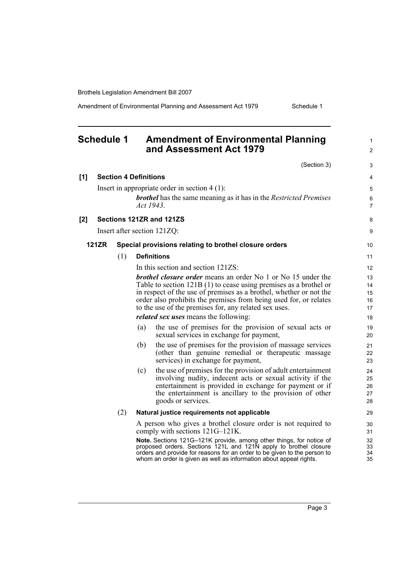Amendment of Environmental Planning and Assessment Act 1979 Schedule 1

<span id="page-10-0"></span>

|     | <b>Schedule 1</b> |     |                              | <b>Amendment of Environmental Planning</b><br>and Assessment Act 1979                                                                        | 1                   |
|-----|-------------------|-----|------------------------------|----------------------------------------------------------------------------------------------------------------------------------------------|---------------------|
|     |                   |     |                              |                                                                                                                                              | 2                   |
|     |                   |     |                              | (Section 3)                                                                                                                                  | 3                   |
| [1] |                   |     | <b>Section 4 Definitions</b> |                                                                                                                                              | 4                   |
|     |                   |     |                              | Insert in appropriate order in section $4(1)$ :                                                                                              | 5                   |
|     |                   |     | Act 1943.                    | <b>brothel</b> has the same meaning as it has in the Restricted Premises                                                                     | 6<br>$\overline{7}$ |
| [2] |                   |     |                              | Sections 121ZR and 121ZS                                                                                                                     | 8                   |
|     |                   |     |                              | Insert after section 121ZQ:                                                                                                                  | 9                   |
|     |                   |     |                              |                                                                                                                                              |                     |
|     | <b>121ZR</b>      |     |                              | Special provisions relating to brothel closure orders                                                                                        | 10                  |
|     |                   | (1) |                              | <b>Definitions</b>                                                                                                                           | 11                  |
|     |                   |     |                              | In this section and section 121ZS:                                                                                                           | 12                  |
|     |                   |     |                              | <b>brothel closure order means an order No 1 or No 15 under the</b>                                                                          | 13                  |
|     |                   |     |                              | Table to section $121B(1)$ to cease using premises as a brothel or                                                                           | 14                  |
|     |                   |     |                              | in respect of the use of premises as a brothel, whether or not the<br>order also prohibits the premises from being used for, or relates      | 15<br>16            |
|     |                   |     |                              | to the use of the premises for, any related sex uses.                                                                                        | 17                  |
|     |                   |     |                              | <i>related sex uses</i> means the following:                                                                                                 | 18                  |
|     |                   |     | (a)                          | the use of premises for the provision of sexual acts or<br>sexual services in exchange for payment,                                          | 19<br>20            |
|     |                   |     | (b)                          | the use of premises for the provision of massage services                                                                                    |                     |
|     |                   |     |                              | (other than genuine remedial or therapeutic massage                                                                                          | 21<br>22            |
|     |                   |     |                              | services) in exchange for payment,                                                                                                           | 23                  |
|     |                   |     | (c)                          | the use of premises for the provision of adult entertainment                                                                                 | 24                  |
|     |                   |     |                              | involving nudity, indecent acts or sexual activity if the                                                                                    | 25                  |
|     |                   |     |                              | entertainment is provided in exchange for payment or if<br>the entertainment is ancillary to the provision of other                          | 26                  |
|     |                   |     |                              | goods or services.                                                                                                                           | 27<br>28            |
|     |                   | (2) |                              | Natural justice requirements not applicable                                                                                                  | 29                  |
|     |                   |     |                              | A person who gives a brothel closure order is not required to<br>comply with sections $121G-121K$ .                                          | 30<br>31            |
|     |                   |     |                              | Note. Sections 121G-121K provide, among other things, for notice of                                                                          | 32                  |
|     |                   |     |                              | proposed orders. Sections 121L and 121N apply to brothel closure<br>orders and provide for reasons for an order to be given to the person to | 33<br>34            |

whom an order is given as well as information about appeal rights.

35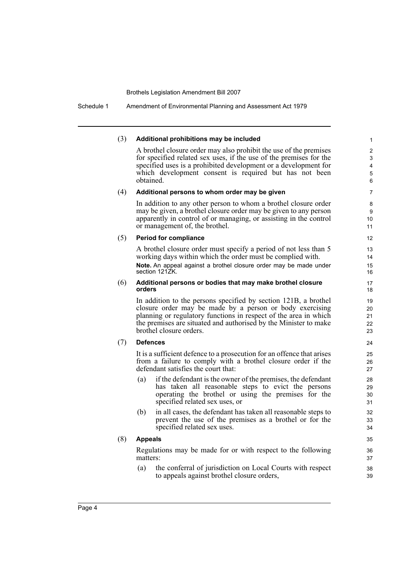Schedule 1 Amendment of Environmental Planning and Assessment Act 1979

#### (3) **Additional prohibitions may be included**

A brothel closure order may also prohibit the use of the premises for specified related sex uses, if the use of the premises for the specified uses is a prohibited development or a development for which development consent is required but has not been obtained.

#### (4) **Additional persons to whom order may be given**

In addition to any other person to whom a brothel closure order may be given, a brothel closure order may be given to any person apparently in control of or managing, or assisting in the control or management of, the brothel.

#### (5) **Period for compliance**

A brothel closure order must specify a period of not less than 5 working days within which the order must be complied with. **Note.** An appeal against a brothel closure order may be made under section 121ZK.

#### (6) **Additional persons or bodies that may make brothel closure orders**

In addition to the persons specified by section 121B, a brothel closure order may be made by a person or body exercising planning or regulatory functions in respect of the area in which the premises are situated and authorised by the Minister to make brothel closure orders.

#### (7) **Defences**

It is a sufficient defence to a prosecution for an offence that arises from a failure to comply with a brothel closure order if the defendant satisfies the court that:

- (a) if the defendant is the owner of the premises, the defendant has taken all reasonable steps to evict the persons operating the brothel or using the premises for the specified related sex uses, or
- (b) in all cases, the defendant has taken all reasonable steps to prevent the use of the premises as a brothel or for the specified related sex uses.

#### (8) **Appeals**

Regulations may be made for or with respect to the following matters:

(a) the conferral of jurisdiction on Local Courts with respect to appeals against brothel closure orders,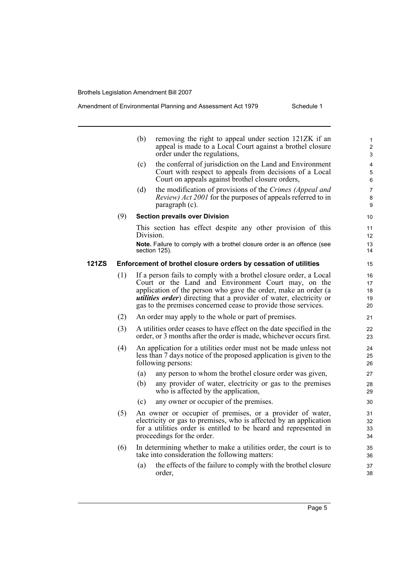#### Amendment of Environmental Planning and Assessment Act 1979 Schedule 1

|       |     | (b)<br>removing the right to appeal under section 121ZK if an<br>appeal is made to a Local Court against a brothel closure<br>order under the regulations,                                                                                                                                                                                  | $\mathbf{1}$<br>$\overline{c}$<br>3 |  |  |
|-------|-----|---------------------------------------------------------------------------------------------------------------------------------------------------------------------------------------------------------------------------------------------------------------------------------------------------------------------------------------------|-------------------------------------|--|--|
|       |     | the conferral of jurisdiction on the Land and Environment<br>(c)<br>Court with respect to appeals from decisions of a Local<br>Court on appeals against brothel closure orders,                                                                                                                                                             | 4<br>5<br>6                         |  |  |
|       |     | the modification of provisions of the Crimes (Appeal and<br>(d)<br><i>Review) Act 2001</i> for the purposes of appeals referred to in<br>paragraph (c).                                                                                                                                                                                     | $\overline{7}$<br>8<br>9            |  |  |
|       | (9) | <b>Section prevails over Division</b>                                                                                                                                                                                                                                                                                                       | 10                                  |  |  |
|       |     | This section has effect despite any other provision of this<br>Division.                                                                                                                                                                                                                                                                    | 11<br>12                            |  |  |
|       |     | Note. Failure to comply with a brothel closure order is an offence (see<br>section 125).                                                                                                                                                                                                                                                    | 13<br>14                            |  |  |
| 121ZS |     | Enforcement of brothel closure orders by cessation of utilities                                                                                                                                                                                                                                                                             | 15                                  |  |  |
|       | (1) | If a person fails to comply with a brothel closure order, a Local<br>Court or the Land and Environment Court may, on the<br>application of the person who gave the order, make an order (a<br><i>utilities order</i> ) directing that a provider of water, electricity or<br>gas to the premises concerned cease to provide those services. |                                     |  |  |
|       | (2) | An order may apply to the whole or part of premises.                                                                                                                                                                                                                                                                                        | 21                                  |  |  |
|       | (3) | A utilities order ceases to have effect on the date specified in the<br>order, or 3 months after the order is made, whichever occurs first.                                                                                                                                                                                                 | 22<br>23                            |  |  |
|       | (4) | An application for a utilities order must not be made unless not<br>less than 7 days notice of the proposed application is given to the<br>following persons:                                                                                                                                                                               | 24<br>25<br>26                      |  |  |
|       |     | (a)<br>any person to whom the brothel closure order was given,                                                                                                                                                                                                                                                                              | 27                                  |  |  |
|       |     | any provider of water, electricity or gas to the premises<br>(b)<br>who is affected by the application,                                                                                                                                                                                                                                     | 28<br>29                            |  |  |
|       |     | any owner or occupier of the premises.<br>(c)                                                                                                                                                                                                                                                                                               | 30                                  |  |  |
|       | (5) | An owner or occupier of premises, or a provider of water,<br>electricity or gas to premises, who is affected by an application<br>for a utilities order is entitled to be heard and represented in<br>proceedings for the order.                                                                                                            | 31<br>32<br>33<br>34                |  |  |
|       | (6) | In determining whether to make a utilities order, the court is to<br>take into consideration the following matters:                                                                                                                                                                                                                         | 35<br>36                            |  |  |
|       |     | the effects of the failure to comply with the brothel closure<br>(a)<br>order,                                                                                                                                                                                                                                                              | 37<br>38                            |  |  |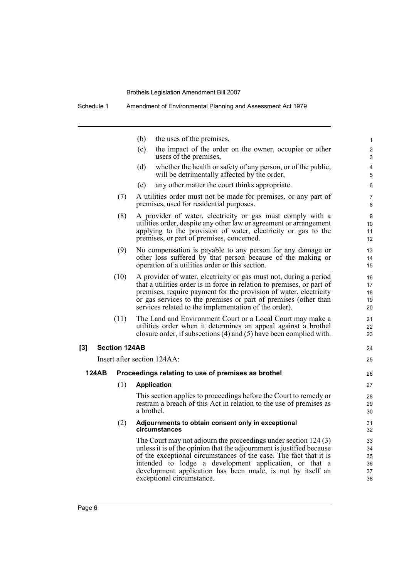|                                                                                                                                                                                                                                                                                                                                                      |                                                                                                             | the uses of the premises,<br>(b)                                                                                                                                                                   |  |  |
|------------------------------------------------------------------------------------------------------------------------------------------------------------------------------------------------------------------------------------------------------------------------------------------------------------------------------------------------------|-------------------------------------------------------------------------------------------------------------|----------------------------------------------------------------------------------------------------------------------------------------------------------------------------------------------------|--|--|
|                                                                                                                                                                                                                                                                                                                                                      |                                                                                                             | (c)<br>the impact of the order on the owner, occupier or other<br>users of the premises,                                                                                                           |  |  |
|                                                                                                                                                                                                                                                                                                                                                      |                                                                                                             | (d)<br>whether the health or safety of any person, or of the public,<br>will be detrimentally affected by the order,                                                                               |  |  |
|                                                                                                                                                                                                                                                                                                                                                      |                                                                                                             | any other matter the court thinks appropriate.<br>(e)                                                                                                                                              |  |  |
|                                                                                                                                                                                                                                                                                                                                                      | A utilities order must not be made for premises, or any part of<br>premises, used for residential purposes. |                                                                                                                                                                                                    |  |  |
| (8)<br>A provider of water, electricity or gas must comply with a<br>utilities order, despite any other law or agreement or arrangement<br>applying to the provision of water, electricity or gas to the<br>premises, or part of premises, concerned.                                                                                                |                                                                                                             |                                                                                                                                                                                                    |  |  |
| (9)<br>No compensation is payable to any person for any damage or<br>other loss suffered by that person because of the making or<br>operation of a utilities order or this section.                                                                                                                                                                  |                                                                                                             |                                                                                                                                                                                                    |  |  |
| (10)<br>A provider of water, electricity or gas must not, during a period<br>that a utilities order is in force in relation to premises, or part of<br>premises, require payment for the provision of water, electricity<br>or gas services to the premises or part of premises (other than<br>services related to the implementation of the order). |                                                                                                             |                                                                                                                                                                                                    |  |  |
|                                                                                                                                                                                                                                                                                                                                                      | (11)                                                                                                        | The Land and Environment Court or a Local Court may make a<br>utilities order when it determines an appeal against a brothel<br>closure order, if subsections (4) and (5) have been complied with. |  |  |
| [3]                                                                                                                                                                                                                                                                                                                                                  | <b>Section 124AB</b>                                                                                        |                                                                                                                                                                                                    |  |  |
|                                                                                                                                                                                                                                                                                                                                                      |                                                                                                             | Insert after section 124AA:                                                                                                                                                                        |  |  |
| <b>124AB</b>                                                                                                                                                                                                                                                                                                                                         |                                                                                                             | Proceedings relating to use of premises as brothel                                                                                                                                                 |  |  |
|                                                                                                                                                                                                                                                                                                                                                      | (1)                                                                                                         | <b>Application</b>                                                                                                                                                                                 |  |  |
|                                                                                                                                                                                                                                                                                                                                                      |                                                                                                             | This section applies to proceedings before the Court to remedy or<br>restrain a breach of this Act in relation to the use of premises as<br>a brothel.                                             |  |  |
|                                                                                                                                                                                                                                                                                                                                                      | (2)                                                                                                         | Adjournments to obtain consent only in exceptional<br>circumstances                                                                                                                                |  |  |

24 25

The Court may not adjourn the proceedings under section 124 (3) unless it is of the opinion that the adjournment is justified because of the exceptional circumstances of the case. The fact that it is intended to lodge a development application, or that a development application has been made, is not by itself an exceptional circumstance.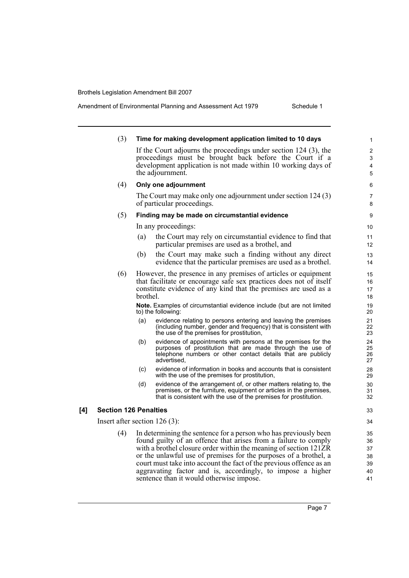Amendment of Environmental Planning and Assessment Act 1979 Schedule 1

|     | (3) | Time for making development application limited to 10 days                                                                                                                                                                                                                                                                                                                                                                                                   | 1                                      |
|-----|-----|--------------------------------------------------------------------------------------------------------------------------------------------------------------------------------------------------------------------------------------------------------------------------------------------------------------------------------------------------------------------------------------------------------------------------------------------------------------|----------------------------------------|
|     |     | If the Court adjourns the proceedings under section 124 (3), the<br>proceedings must be brought back before the Court if a<br>development application is not made within 10 working days of<br>the adjournment.                                                                                                                                                                                                                                              | 2<br>3<br>$\overline{\mathbf{4}}$<br>5 |
|     | (4) | Only one adjournment                                                                                                                                                                                                                                                                                                                                                                                                                                         | 6                                      |
|     |     | The Court may make only one adjournment under section 124 (3)<br>of particular proceedings.                                                                                                                                                                                                                                                                                                                                                                  | 7<br>8                                 |
|     | (5) | Finding may be made on circumstantial evidence                                                                                                                                                                                                                                                                                                                                                                                                               | 9                                      |
|     |     | In any proceedings:                                                                                                                                                                                                                                                                                                                                                                                                                                          | 10                                     |
|     |     | the Court may rely on circumstantial evidence to find that<br>(a)<br>particular premises are used as a brothel, and                                                                                                                                                                                                                                                                                                                                          | 11<br>12                               |
|     |     | the Court may make such a finding without any direct<br>(b)<br>evidence that the particular premises are used as a brothel.                                                                                                                                                                                                                                                                                                                                  | 13<br>14                               |
|     | (6) | However, the presence in any premises of articles or equipment<br>that facilitate or encourage safe sex practices does not of itself<br>constitute evidence of any kind that the premises are used as a<br>brothel.                                                                                                                                                                                                                                          | 15<br>16<br>17<br>18                   |
|     |     | <b>Note.</b> Examples of circumstantial evidence include (but are not limited<br>to) the following:                                                                                                                                                                                                                                                                                                                                                          | 19<br>20                               |
|     |     | (a)<br>evidence relating to persons entering and leaving the premises<br>(including number, gender and frequency) that is consistent with<br>the use of the premises for prostitution,                                                                                                                                                                                                                                                                       | 21<br>22<br>23                         |
|     |     | evidence of appointments with persons at the premises for the<br>(b)<br>purposes of prostitution that are made through the use of<br>telephone numbers or other contact details that are publicly<br>advertised,                                                                                                                                                                                                                                             | 24<br>25<br>26<br>27                   |
|     |     | evidence of information in books and accounts that is consistent<br>(c)<br>with the use of the premises for prostitution,                                                                                                                                                                                                                                                                                                                                    | 28<br>29                               |
|     |     | evidence of the arrangement of, or other matters relating to, the<br>(d)<br>premises, or the furniture, equipment or articles in the premises,<br>that is consistent with the use of the premises for prostitution.                                                                                                                                                                                                                                          | 30<br>31<br>32                         |
| [4] |     | <b>Section 126 Penalties</b>                                                                                                                                                                                                                                                                                                                                                                                                                                 | 33                                     |
|     |     | Insert after section $126(3)$ :                                                                                                                                                                                                                                                                                                                                                                                                                              | 34                                     |
|     | (4) | In determining the sentence for a person who has previously been<br>found guilty of an offence that arises from a failure to comply<br>with a brothel closure order within the meaning of section 121ZR<br>or the unlawful use of premises for the purposes of a brothel, a<br>court must take into account the fact of the previous offence as an<br>aggravating factor and is, accordingly, to impose a higher<br>sentence than it would otherwise impose. | 35<br>36<br>37<br>38<br>39<br>40<br>41 |

Page 7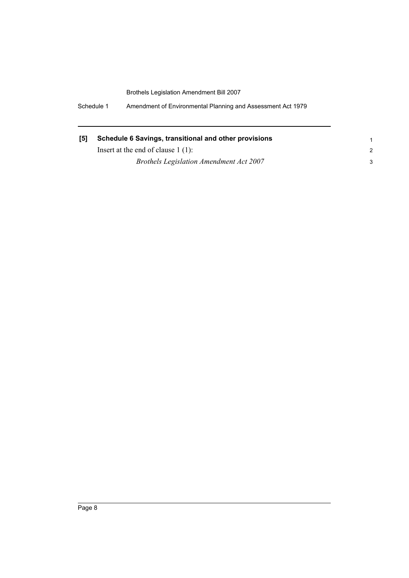Schedule 1 Amendment of Environmental Planning and Assessment Act 1979

| Schedule 6 Savings, transitional and other provisions<br>[5] |                                                |  |  |  |  |
|--------------------------------------------------------------|------------------------------------------------|--|--|--|--|
|                                                              | Insert at the end of clause $1(1)$ :           |  |  |  |  |
|                                                              | <b>Brothels Legislation Amendment Act 2007</b> |  |  |  |  |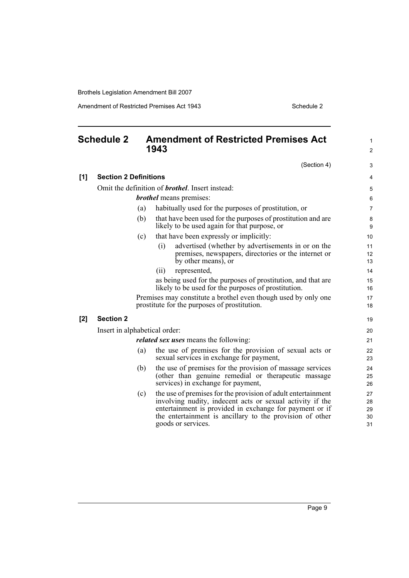Amendment of Restricted Premises Act 1943 Schedule 2

<span id="page-16-0"></span>

|     | <b>Schedule 2</b>             |     | <b>Amendment of Restricted Premises Act</b><br>1943                                                                                                                                                                                                                    | 1<br>$\overline{2}$        |
|-----|-------------------------------|-----|------------------------------------------------------------------------------------------------------------------------------------------------------------------------------------------------------------------------------------------------------------------------|----------------------------|
|     |                               |     | (Section 4)                                                                                                                                                                                                                                                            | 3                          |
| [1] | <b>Section 2 Definitions</b>  |     |                                                                                                                                                                                                                                                                        | 4                          |
|     |                               |     | Omit the definition of <b>brothel</b> . Insert instead:                                                                                                                                                                                                                | 5                          |
|     |                               |     | <i>brothel</i> means premises:                                                                                                                                                                                                                                         | 6                          |
|     |                               | (a) | habitually used for the purposes of prostitution, or                                                                                                                                                                                                                   | $\overline{7}$             |
|     |                               | (b) | that have been used for the purposes of prostitution and are<br>likely to be used again for that purpose, or                                                                                                                                                           | 8<br>9                     |
|     |                               | (c) | that have been expressly or implicitly:                                                                                                                                                                                                                                | 10                         |
|     |                               |     | advertised (whether by advertisements in or on the<br>(i)<br>premises, newspapers, directories or the internet or<br>by other means), or                                                                                                                               | 11<br>12<br>13             |
|     |                               |     | (ii)<br>represented,                                                                                                                                                                                                                                                   | 14                         |
|     |                               |     | as being used for the purposes of prostitution, and that are<br>likely to be used for the purposes of prostitution.                                                                                                                                                    | 15<br>16                   |
|     |                               |     | Premises may constitute a brothel even though used by only one<br>prostitute for the purposes of prostitution.                                                                                                                                                         | 17<br>18                   |
| [2] | <b>Section 2</b>              |     |                                                                                                                                                                                                                                                                        | 19                         |
|     | Insert in alphabetical order: |     |                                                                                                                                                                                                                                                                        | 20                         |
|     |                               |     | <i>related sex uses</i> means the following:                                                                                                                                                                                                                           | 21                         |
|     |                               | (a) | the use of premises for the provision of sexual acts or<br>sexual services in exchange for payment,                                                                                                                                                                    | 22<br>23                   |
|     |                               | (b) | the use of premises for the provision of massage services<br>(other than genuine remedial or therapeutic massage<br>services) in exchange for payment,                                                                                                                 | 24<br>25<br>26             |
|     |                               | (c) | the use of premises for the provision of adult entertainment<br>involving nudity, indecent acts or sexual activity if the<br>entertainment is provided in exchange for payment or if<br>the entertainment is ancillary to the provision of other<br>goods or services. | 27<br>28<br>29<br>30<br>31 |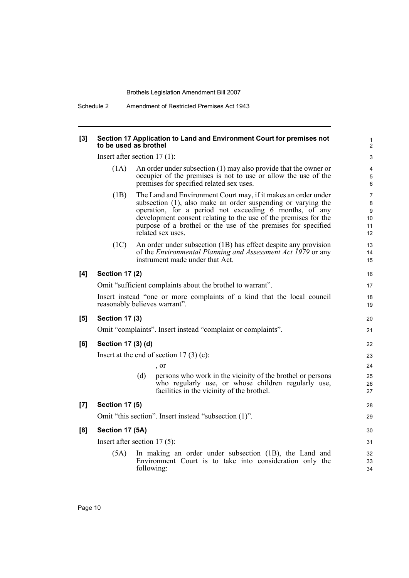Schedule 2 Amendment of Restricted Premises Act 1943

#### **[3] Section 17 Application to Land and Environment Court for premises not to be used as brothel**

Insert after section 17 (1):

(1A) An order under subsection (1) may also provide that the owner or occupier of the premises is not to use or allow the use of the premises for specified related sex uses.

28 29

- (1B) The Land and Environment Court may, if it makes an order under subsection (1), also make an order suspending or varying the operation, for a period not exceeding 6 months, of any development consent relating to the use of the premises for the purpose of a brothel or the use of the premises for specified related sex uses.
- (1C) An order under subsection (1B) has effect despite any provision of the *Environmental Planning and Assessment Act 1979* or any instrument made under that Act.

#### **[4] Section 17 (2)**

Omit "sufficient complaints about the brothel to warrant".

Insert instead "one or more complaints of a kind that the local council reasonably believes warrant".

#### **[5] Section 17 (3)**

Omit "complaints". Insert instead "complaint or complaints".

| [6] | Section 17 (3) (d) |  |  |  |  |
|-----|--------------------|--|--|--|--|
|-----|--------------------|--|--|--|--|

Insert at the end of section  $17(3)(c)$ :

, or

(d) persons who work in the vicinity of the brothel or persons who regularly use, or whose children regularly use, facilities in the vicinity of the brothel.

#### **[7] Section 17 (5)**

Omit "this section". Insert instead "subsection (1)".

#### **[8] Section 17 (5A)**

Insert after section 17 (5):

(5A) In making an order under subsection (1B), the Land and Environment Court is to take into consideration only the following: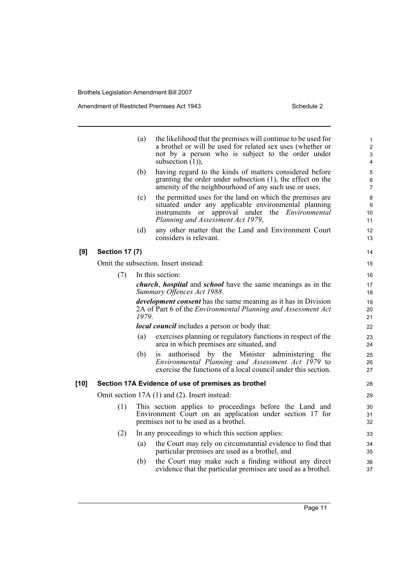Amendment of Restricted Premises Act 1943 Schedule 2

|      |                       | (a)   | the likelihood that the premises will continue to be used for<br>a brothel or will be used for related sex uses (whether or<br>not by a person who is subject to the order under<br>subsection $(1)$ ),          | 1<br>$\overline{2}$<br>3<br>$\overline{4}$ |
|------|-----------------------|-------|------------------------------------------------------------------------------------------------------------------------------------------------------------------------------------------------------------------|--------------------------------------------|
|      |                       | (b)   | having regard to the kinds of matters considered before<br>granting the order under subsection (1), the effect on the<br>amenity of the neighbourhood of any such use or uses,                                   | 5<br>6<br>$\overline{7}$                   |
|      |                       | (c)   | the permitted uses for the land on which the premises are<br>situated under any applicable environmental planning<br>instruments or approval under the <i>Environmental</i><br>Planning and Assessment Act 1979, | 8<br>9<br>10<br>11                         |
|      |                       | (d)   | any other matter that the Land and Environment Court<br>considers is relevant.                                                                                                                                   | 12<br>13                                   |
| [9]  | <b>Section 17 (7)</b> |       |                                                                                                                                                                                                                  | 14                                         |
|      |                       |       | Omit the subsection. Insert instead:                                                                                                                                                                             | 15                                         |
|      | (7)                   |       | In this section:                                                                                                                                                                                                 | 16                                         |
|      |                       |       | <i>church, hospital</i> and <i>school</i> have the same meanings as in the<br>Summary Offences Act 1988.                                                                                                         | 17<br>18                                   |
|      |                       | 1979. | <i>development consent</i> has the same meaning as it has in Division<br>2A of Part 6 of the Environmental Planning and Assessment Act                                                                           | 19<br>20<br>21                             |
|      |                       |       | <b><i>local council</i></b> includes a person or body that:                                                                                                                                                      | 22                                         |
|      |                       | (a)   | exercises planning or regulatory functions in respect of the<br>area in which premises are situated, and                                                                                                         | 23<br>24                                   |
|      |                       | (b)   | authorised by the Minister administering the<br>is<br>Environmental Planning and Assessment Act 1979 to<br>exercise the functions of a local council under this section.                                         | 25<br>26<br>27                             |
| [10] |                       |       | Section 17A Evidence of use of premises as brothel                                                                                                                                                               | 28                                         |
|      |                       |       | Omit section 17A (1) and (2). Insert instead:                                                                                                                                                                    | 29                                         |
|      | (1)                   |       | This section applies to proceedings before the Land and<br>Environment Court on an application under section 17 for<br>premises not to be used as a brothel.                                                     | 30<br>31<br>32                             |
|      | (2)                   |       | In any proceedings to which this section applies:                                                                                                                                                                | 33                                         |
|      |                       | (a)   | the Court may rely on circumstantial evidence to find that<br>particular premises are used as a brothel, and                                                                                                     | 34<br>35                                   |
|      |                       | (b)   | the Court may make such a finding without any direct<br>evidence that the particular premises are used as a brothel.                                                                                             | 36<br>37                                   |
|      |                       |       |                                                                                                                                                                                                                  |                                            |

Page 11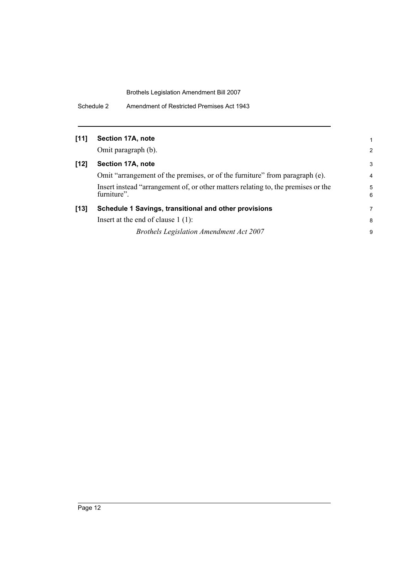Schedule 2 Amendment of Restricted Premises Act 1943

| $[11]$ |  | Section 17A, note |  |  |
|--------|--|-------------------|--|--|
|--------|--|-------------------|--|--|

Omit paragraph (b).

## **[12] Section 17A, note**

Omit "arrangement of the premises, or of the furniture" from paragraph (e). Insert instead "arrangement of, or other matters relating to, the premises or the furniture".

### **[13] Schedule 1 Savings, transitional and other provisions** Insert at the end of clause 1 (1):

*Brothels Legislation Amendment Act 2007*